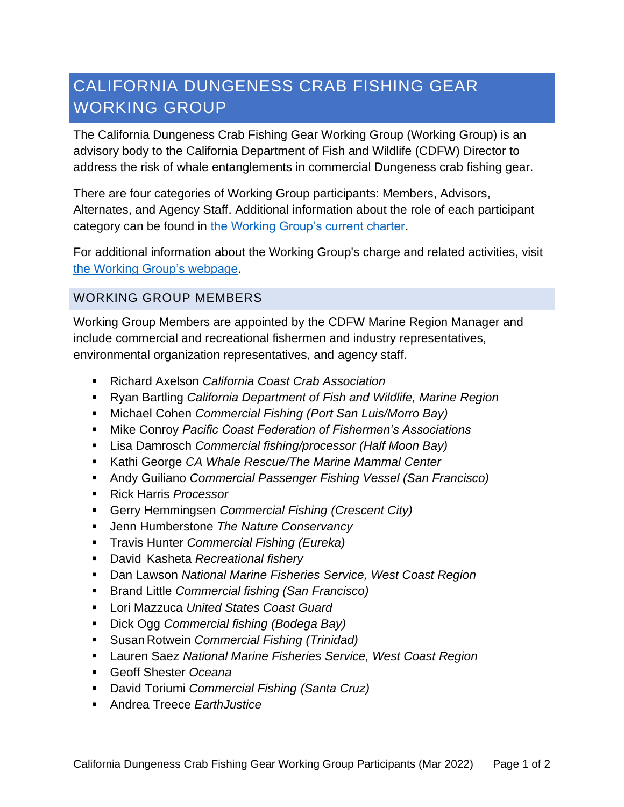## CALIFORNIA DUNGENESS CRAB FISHING GEAR WORKING GROUP

The California Dungeness Crab Fishing Gear Working Group (Working Group) is an advisory body to the California Department of Fish and Wildlife (CDFW) Director to address the risk of whale entanglements in commercial Dungeness crab fishing gear.

There are four categories of Working Group participants: Members, Advisors, Alternates, and Agency Staff. Additional information about the role of each participant category can be found in [the Working Group's current charter.](https://www.opc.ca.gov/webmaster/_media_library/2020/11/CAWhaleWorkingGroup_UpdatedCharter_October2020.pdf)

For additional information about the Working Group's charge and related activities, visit [the Working Group's webpage.](http://www.opc.ca.gov/whale-entanglement-working-group/)

## WORKING GROUP MEMBERS

Working Group Members are appointed by the CDFW Marine Region Manager and include commercial and recreational fishermen and industry representatives, environmental organization representatives, and agency staff.

- Richard Axelson *California Coast Crab Association*
- Ryan Bartling *California Department of Fish and Wildlife, Marine Region*
- Michael Cohen *Commercial Fishing (Port San Luis/Morro Bay)*
- Mike Conroy *Pacific Coast Federation of Fishermen's Associations*
- Lisa Damrosch *Commercial fishing/processor (Half Moon Bay)*
- Kathi George *CA Whale Rescue/The Marine Mammal Center*
- Andy Guiliano *Commercial Passenger Fishing Vessel (San Francisco)*
- Rick Harris *Processor*
- Gerry Hemmingsen *Commercial Fishing (Crescent City)*
- Jenn Humberstone *The Nature Conservancy*
- Travis Hunter *Commercial Fishing (Eureka)*
- David Kasheta *Recreational fishery*
- Dan Lawson *National Marine Fisheries Service, West Coast Region*
- Brand Little *Commercial fishing (San Francisco)*
- Lori Mazzuca *United States Coast Guard*
- Dick Ogg *Commercial fishing (Bodega Bay)*
- Susan Rotwein *Commercial Fishing (Trinidad)*
- Lauren Saez *National Marine Fisheries Service, West Coast Region*
- Geoff Shester *Oceana*
- David Toriumi *Commercial Fishing (Santa Cruz)*
- Andrea Treece FarthJustice